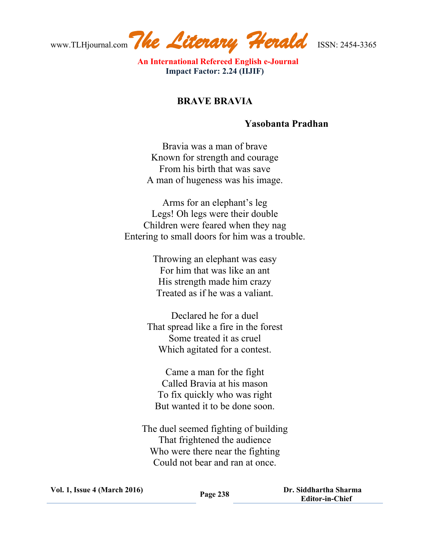www.TLHjournal.com*The Literary Herald*ISSN: 2454-3365

 **An International Refereed English e-Journal Impact Factor: 2.24 (IIJIF)**

## **BRAVE BRAVIA**

## **Yasobanta Pradhan**

Bravia was a man of brave Known for strength and courage From his birth that was save A man of hugeness was his image.

Arms for an elephant's leg Legs! Oh legs were their double Children were feared when they nag Entering to small doors for him was a trouble.

> Throwing an elephant was easy For him that was like an ant His strength made him crazy Treated as if he was a valiant.

Declared he for a duel That spread like a fire in the forest Some treated it as cruel Which agitated for a contest.

Came a man for the fight Called Bravia at his mason To fix quickly who was right But wanted it to be done soon.

The duel seemed fighting of building That frightened the audience Who were there near the fighting Could not bear and ran at once.

**Vol. 1, Issue <sup>4</sup> (March 2016) Page <sup>238</sup> Dr. Siddhartha Sharma Editor-in-Chief**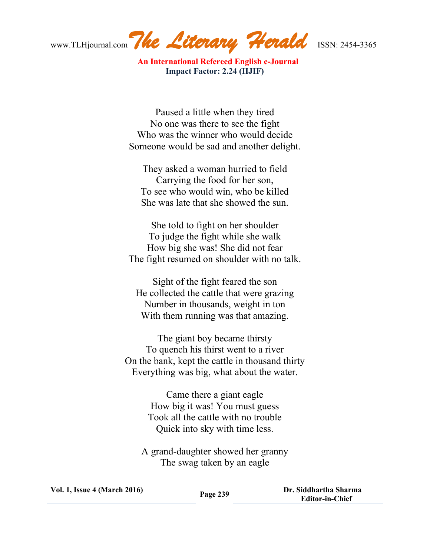www.TLHjournal.com*The Literary Herald*ISSN: 2454-3365

 **An International Refereed English e-Journal Impact Factor: 2.24 (IIJIF)**

Paused a little when they tired No one was there to see the fight Who was the winner who would decide Someone would be sad and another delight.

They asked a woman hurried to field Carrying the food for her son, To see who would win, who be killed She was late that she showed the sun.

She told to fight on her shoulder To judge the fight while she walk How big she was! She did not fear The fight resumed on shoulder with no talk.

Sight of the fight feared the son He collected the cattle that were grazing Number in thousands, weight in ton With them running was that amazing.

The giant boy became thirsty To quench his thirst went to a river On the bank, kept the cattle in thousand thirty Everything was big, what about the water.

> Came there a giant eagle How big it was! You must guess Took all the cattle with no trouble Quick into sky with time less.

A grand-daughter showed her granny The swag taken by an eagle

| <b>Vol. 1, Issue 4 (March 2016)</b> | Page 239 | Dr. Siddhartha Sharma  |
|-------------------------------------|----------|------------------------|
|                                     |          | <b>Editor-in-Chief</b> |